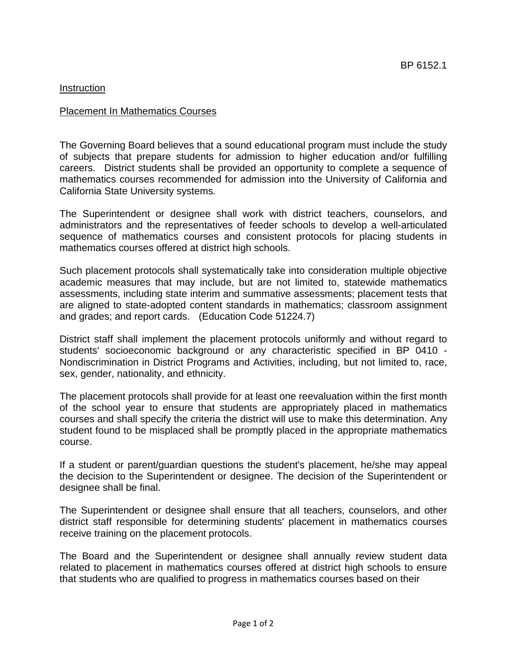## Instruction

### Placement In Mathematics Courses

The Governing Board believes that a sound educational program must include the study of subjects that prepare students for admission to higher education and/or fulfilling careers. District students shall be provided an opportunity to complete a sequence of mathematics courses recommended for admission into the University of California and California State University systems.

The Superintendent or designee shall work with district teachers, counselors, and administrators and the representatives of feeder schools to develop a well-articulated sequence of mathematics courses and consistent protocols for placing students in mathematics courses offered at district high schools.

Such placement protocols shall systematically take into consideration multiple objective academic measures that may include, but are not limited to, statewide mathematics assessments, including state interim and summative assessments; placement tests that are aligned to state-adopted content standards in mathematics; classroom assignment and grades; and report cards. (Education Code 51224.7)

District staff shall implement the placement protocols uniformly and without regard to students' socioeconomic background or any characteristic specified in BP 0410 - Nondiscrimination in District Programs and Activities, including, but not limited to, race, sex, gender, nationality, and ethnicity.

The placement protocols shall provide for at least one reevaluation within the first month of the school year to ensure that students are appropriately placed in mathematics courses and shall specify the criteria the district will use to make this determination. Any student found to be misplaced shall be promptly placed in the appropriate mathematics course.

If a student or parent/guardian questions the student's placement, he/she may appeal the decision to the Superintendent or designee. The decision of the Superintendent or designee shall be final.

The Superintendent or designee shall ensure that all teachers, counselors, and other district staff responsible for determining students' placement in mathematics courses receive training on the placement protocols.

The Board and the Superintendent or designee shall annually review student data related to placement in mathematics courses offered at district high schools to ensure that students who are qualified to progress in mathematics courses based on their